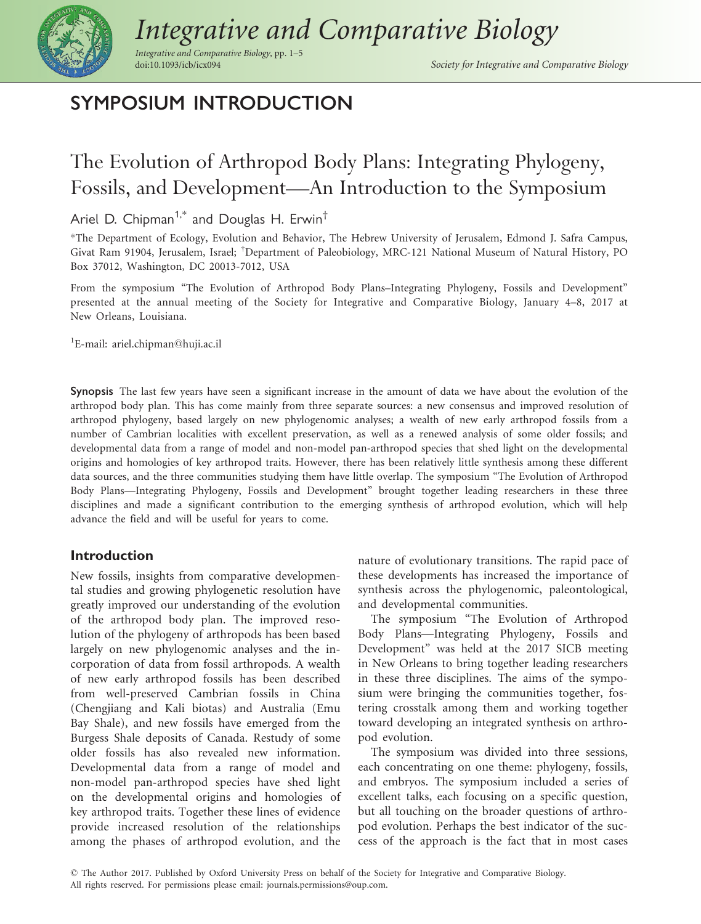

Integrative and Comparative Biology, pp. 1–5

## SYMPOSIUM INTRODUCTION

# The Evolution of Arthropod Body Plans: Integrating Phylogeny, Fossils, and Development—An Introduction to the Symposium

Ariel D. Chipman<sup>1,\*</sup> and Douglas H. Erwin<sup>†</sup>

\*The Department of Ecology, Evolution and Behavior, The Hebrew University of Jerusalem, Edmond J. Safra Campus, Givat Ram 91904, Jerusalem, Israel; † Department of Paleobiology, MRC-121 National Museum of Natural History, PO Box 37012, Washington, DC 20013-7012, USA

From the symposium "The Evolution of Arthropod Body Plans–Integrating Phylogeny, Fossils and Development" presented at the annual meeting of the Society for Integrative and Comparative Biology, January 4–8, 2017 at New Orleans, Louisiana.

1 E-mail: ariel.chipman@huji.ac.il

Synopsis The last few years have seen a significant increase in the amount of data we have about the evolution of the arthropod body plan. This has come mainly from three separate sources: a new consensus and improved resolution of arthropod phylogeny, based largely on new phylogenomic analyses; a wealth of new early arthropod fossils from a number of Cambrian localities with excellent preservation, as well as a renewed analysis of some older fossils; and developmental data from a range of model and non-model pan-arthropod species that shed light on the developmental origins and homologies of key arthropod traits. However, there has been relatively little synthesis among these different data sources, and the three communities studying them have little overlap. The symposium "The Evolution of Arthropod Body Plans—Integrating Phylogeny, Fossils and Development" brought together leading researchers in these three disciplines and made a significant contribution to the emerging synthesis of arthropod evolution, which will help advance the field and will be useful for years to come.

## Introduction

New fossils, insights from comparative developmental studies and growing phylogenetic resolution have greatly improved our understanding of the evolution of the arthropod body plan. The improved resolution of the phylogeny of arthropods has been based largely on new phylogenomic analyses and the incorporation of data from fossil arthropods. A wealth of new early arthropod fossils has been described from well-preserved Cambrian fossils in China (Chengjiang and Kali biotas) and Australia (Emu Bay Shale), and new fossils have emerged from the Burgess Shale deposits of Canada. Restudy of some older fossils has also revealed new information. Developmental data from a range of model and non-model pan-arthropod species have shed light on the developmental origins and homologies of key arthropod traits. Together these lines of evidence provide increased resolution of the relationships among the phases of arthropod evolution, and the

nature of evolutionary transitions. The rapid pace of these developments has increased the importance of synthesis across the phylogenomic, paleontological, and developmental communities.

The symposium "The Evolution of Arthropod Body Plans—Integrating Phylogeny, Fossils and Development" was held at the 2017 SICB meeting in New Orleans to bring together leading researchers in these three disciplines. The aims of the symposium were bringing the communities together, fostering crosstalk among them and working together toward developing an integrated synthesis on arthropod evolution.

The symposium was divided into three sessions, each concentrating on one theme: phylogeny, fossils, and embryos. The symposium included a series of excellent talks, each focusing on a specific question, but all touching on the broader questions of arthropod evolution. Perhaps the best indicator of the success of the approach is the fact that in most cases

- The Author 2017. Published by Oxford University Press on behalf of the Society for Integrative and Comparative Biology. All rights reserved. For permissions please email: journals.permissions@oup.com.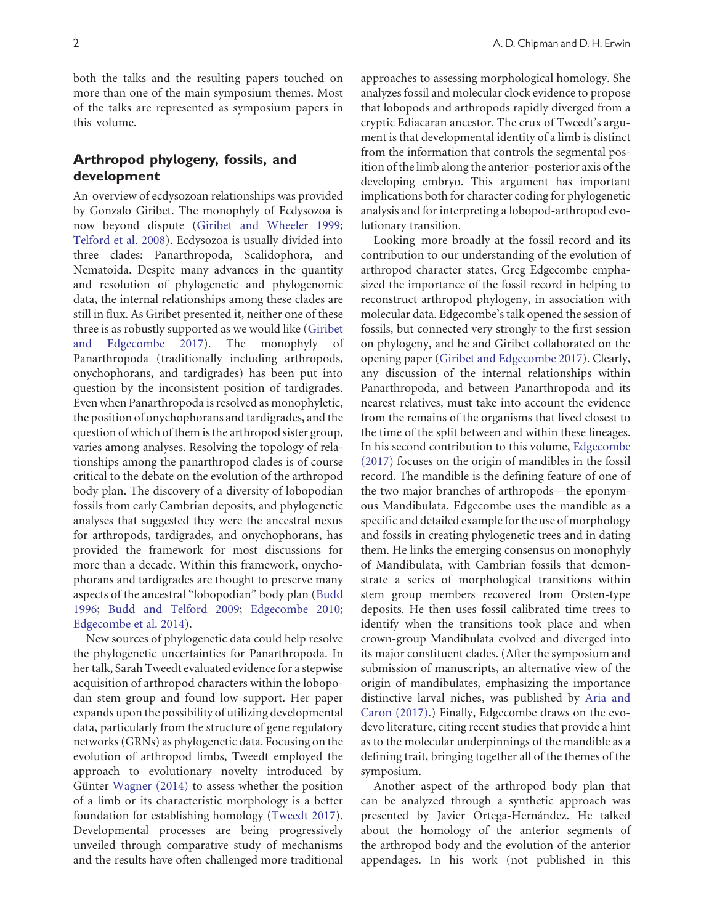both the talks and the resulting papers touched on more than one of the main symposium themes. Most of the talks are represented as symposium papers in this volume.

### Arthropod phylogeny, fossils, and development

An overview of ecdysozoan relationships was provided by Gonzalo Giribet. The monophyly of Ecdysozoa is now beyond dispute ([Giribet and Wheeler 1999](#page-3-0); [Telford et al. 2008](#page-3-0)). Ecdysozoa is usually divided into three clades: Panarthropoda, Scalidophora, and Nematoida. Despite many advances in the quantity and resolution of phylogenetic and phylogenomic data, the internal relationships among these clades are still in flux. As Giribet presented it, neither one of these three is as robustly supported as we would like ([Giribet](#page-3-0) [and Edgecombe 2017](#page-3-0)). The monophyly of Panarthropoda (traditionally including arthropods, onychophorans, and tardigrades) has been put into question by the inconsistent position of tardigrades. Even when Panarthropoda is resolved as monophyletic, the position of onychophorans and tardigrades, and the question of which of them is the arthropod sister group, varies among analyses. Resolving the topology of relationships among the panarthropod clades is of course critical to the debate on the evolution of the arthropod body plan. The discovery of a diversity of lobopodian fossils from early Cambrian deposits, and phylogenetic analyses that suggested they were the ancestral nexus for arthropods, tardigrades, and onychophorans, has provided the framework for most discussions for more than a decade. Within this framework, onychophorans and tardigrades are thought to preserve many aspects of the ancestral "lobopodian" body plan ([Budd](#page-3-0) [1996](#page-3-0); [Budd and Telford 2009;](#page-3-0) [Edgecombe 2010](#page-3-0); [Edgecombe et al. 2014](#page-3-0)).

New sources of phylogenetic data could help resolve the phylogenetic uncertainties for Panarthropoda. In her talk, Sarah Tweedt evaluated evidence for a stepwise acquisition of arthropod characters within the lobopodan stem group and found low support. Her paper expands upon the possibility of utilizing developmental data, particularly from the structure of gene regulatory networks (GRNs) as phylogenetic data. Focusing on the evolution of arthropod limbs, Tweedt employed the approach to evolutionary novelty introduced by Günter Wagner  $(2014)$  to assess whether the position of a limb or its characteristic morphology is a better foundation for establishing homology [\(Tweedt 2017](#page-4-0)). Developmental processes are being progressively unveiled through comparative study of mechanisms and the results have often challenged more traditional

approaches to assessing morphological homology. She analyzes fossil and molecular clock evidence to propose that lobopods and arthropods rapidly diverged from a cryptic Ediacaran ancestor. The crux of Tweedt's argument is that developmental identity of a limb is distinct from the information that controls the segmental position of the limb along the anterior–posterior axis of the developing embryo. This argument has important implications both for character coding for phylogenetic analysis and for interpreting a lobopod-arthropod evolutionary transition.

Looking more broadly at the fossil record and its contribution to our understanding of the evolution of arthropod character states, Greg Edgecombe emphasized the importance of the fossil record in helping to reconstruct arthropod phylogeny, in association with molecular data. Edgecombe's talk opened the session of fossils, but connected very strongly to the first session on phylogeny, and he and Giribet collaborated on the opening paper [\(Giribet and Edgecombe 2017\)](#page-3-0). Clearly, any discussion of the internal relationships within Panarthropoda, and between Panarthropoda and its nearest relatives, must take into account the evidence from the remains of the organisms that lived closest to the time of the split between and within these lineages. In his second contribution to this volume, [Edgecombe](#page-3-0) [\(2017\)](#page-3-0) focuses on the origin of mandibles in the fossil record. The mandible is the defining feature of one of the two major branches of arthropods—the eponymous Mandibulata. Edgecombe uses the mandible as a specific and detailed example for the use of morphology and fossils in creating phylogenetic trees and in dating them. He links the emerging consensus on monophyly of Mandibulata, with Cambrian fossils that demonstrate a series of morphological transitions within stem group members recovered from Orsten-type deposits. He then uses fossil calibrated time trees to identify when the transitions took place and when crown-group Mandibulata evolved and diverged into its major constituent clades. (After the symposium and submission of manuscripts, an alternative view of the origin of mandibulates, emphasizing the importance distinctive larval niches, was published by [Aria and](#page-3-0) [Caron \(2017\).](#page-3-0)) Finally, Edgecombe draws on the evodevo literature, citing recent studies that provide a hint as to the molecular underpinnings of the mandible as a defining trait, bringing together all of the themes of the symposium.

Another aspect of the arthropod body plan that can be analyzed through a synthetic approach was presented by Javier Ortega-Hernández. He talked about the homology of the anterior segments of the arthropod body and the evolution of the anterior appendages. In his work (not published in this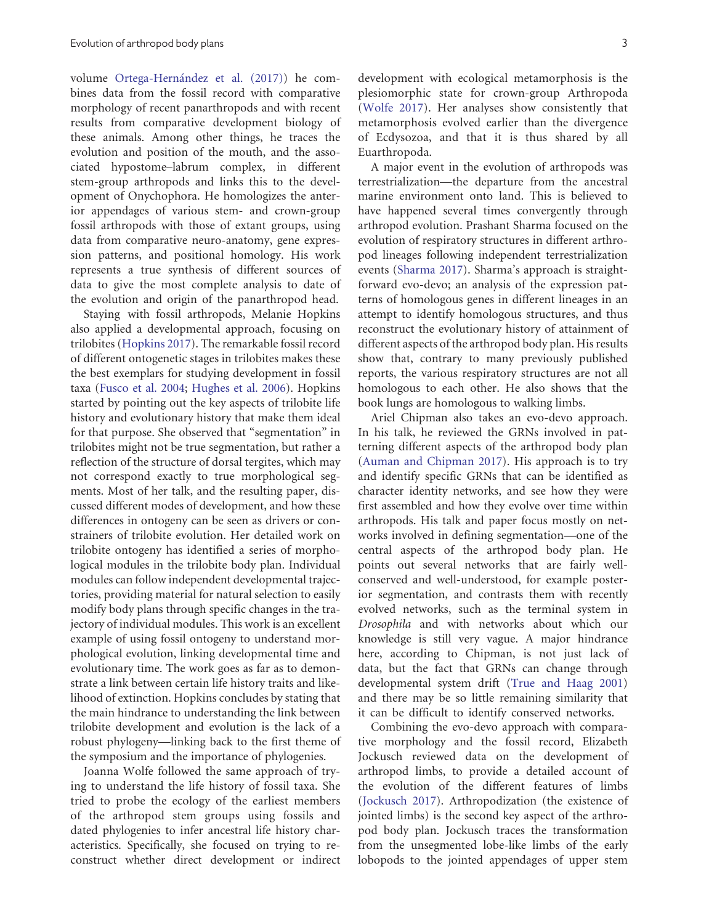volume [Ortega-Hern](#page-3-0)ández et al. (2017)) he combines data from the fossil record with comparative morphology of recent panarthropods and with recent results from comparative development biology of these animals. Among other things, he traces the evolution and position of the mouth, and the associated hypostome–labrum complex, in different stem-group arthropods and links this to the development of Onychophora. He homologizes the anterior appendages of various stem- and crown-group fossil arthropods with those of extant groups, using data from comparative neuro-anatomy, gene expression patterns, and positional homology. His work represents a true synthesis of different sources of data to give the most complete analysis to date of the evolution and origin of the panarthropod head.

Staying with fossil arthropods, Melanie Hopkins also applied a developmental approach, focusing on trilobites [\(Hopkins 2017\)](#page-3-0). The remarkable fossil record of different ontogenetic stages in trilobites makes these the best exemplars for studying development in fossil taxa [\(Fusco et al. 2004;](#page-3-0) [Hughes et al. 2006](#page-3-0)). Hopkins started by pointing out the key aspects of trilobite life history and evolutionary history that make them ideal for that purpose. She observed that "segmentation" in trilobites might not be true segmentation, but rather a reflection of the structure of dorsal tergites, which may not correspond exactly to true morphological segments. Most of her talk, and the resulting paper, discussed different modes of development, and how these differences in ontogeny can be seen as drivers or constrainers of trilobite evolution. Her detailed work on trilobite ontogeny has identified a series of morphological modules in the trilobite body plan. Individual modules can follow independent developmental trajectories, providing material for natural selection to easily modify body plans through specific changes in the trajectory of individual modules. This work is an excellent example of using fossil ontogeny to understand morphological evolution, linking developmental time and evolutionary time. The work goes as far as to demonstrate a link between certain life history traits and likelihood of extinction. Hopkins concludes by stating that the main hindrance to understanding the link between trilobite development and evolution is the lack of a robust phylogeny—linking back to the first theme of the symposium and the importance of phylogenies.

Joanna Wolfe followed the same approach of trying to understand the life history of fossil taxa. She tried to probe the ecology of the earliest members of the arthropod stem groups using fossils and dated phylogenies to infer ancestral life history characteristics. Specifically, she focused on trying to reconstruct whether direct development or indirect development with ecological metamorphosis is the plesiomorphic state for crown-group Arthropoda [\(Wolfe 2017\)](#page-4-0). Her analyses show consistently that metamorphosis evolved earlier than the divergence of Ecdysozoa, and that it is thus shared by all Euarthropoda.

A major event in the evolution of arthropods was terrestrialization—the departure from the ancestral marine environment onto land. This is believed to have happened several times convergently through arthropod evolution. Prashant Sharma focused on the evolution of respiratory structures in different arthropod lineages following independent terrestrialization events ([Sharma 2017](#page-3-0)). Sharma's approach is straightforward evo-devo; an analysis of the expression patterns of homologous genes in different lineages in an attempt to identify homologous structures, and thus reconstruct the evolutionary history of attainment of different aspects of the arthropod body plan. His results show that, contrary to many previously published reports, the various respiratory structures are not all homologous to each other. He also shows that the book lungs are homologous to walking limbs.

Ariel Chipman also takes an evo-devo approach. In his talk, he reviewed the GRNs involved in patterning different aspects of the arthropod body plan [\(Auman and Chipman 2017\)](#page-3-0). His approach is to try and identify specific GRNs that can be identified as character identity networks, and see how they were first assembled and how they evolve over time within arthropods. His talk and paper focus mostly on networks involved in defining segmentation—one of the central aspects of the arthropod body plan. He points out several networks that are fairly wellconserved and well-understood, for example posterior segmentation, and contrasts them with recently evolved networks, such as the terminal system in Drosophila and with networks about which our knowledge is still very vague. A major hindrance here, according to Chipman, is not just lack of data, but the fact that GRNs can change through developmental system drift [\(True and Haag 2001](#page-4-0)) and there may be so little remaining similarity that it can be difficult to identify conserved networks.

Combining the evo-devo approach with comparative morphology and the fossil record, Elizabeth Jockusch reviewed data on the development of arthropod limbs, to provide a detailed account of the evolution of the different features of limbs [\(Jockusch 2017\)](#page-3-0). Arthropodization (the existence of jointed limbs) is the second key aspect of the arthropod body plan. Jockusch traces the transformation from the unsegmented lobe-like limbs of the early lobopods to the jointed appendages of upper stem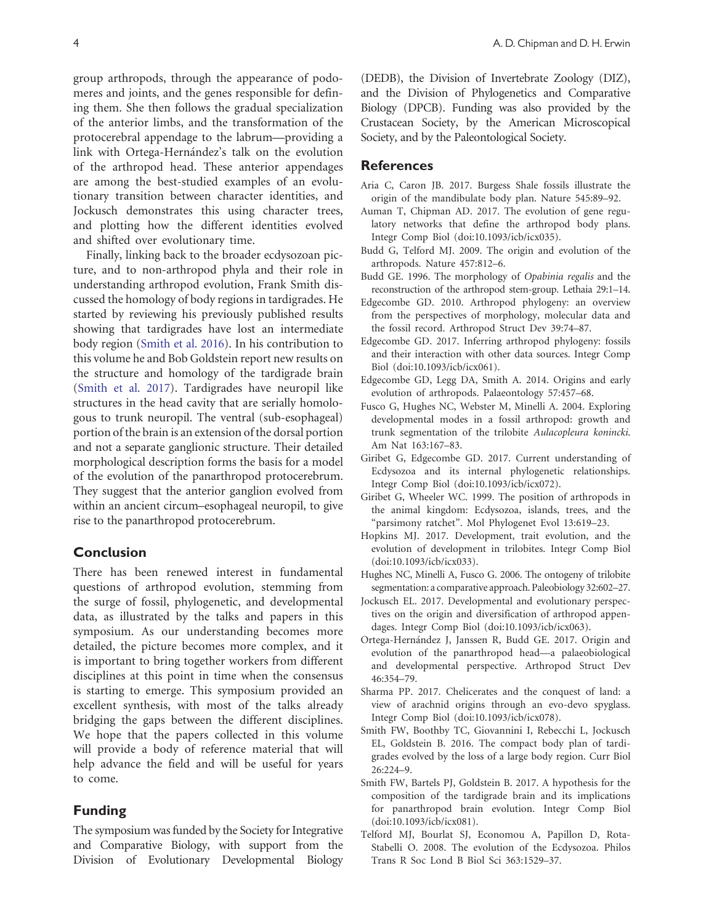<span id="page-3-0"></span>group arthropods, through the appearance of podomeres and joints, and the genes responsible for defining them. She then follows the gradual specialization of the anterior limbs, and the transformation of the protocerebral appendage to the labrum—providing a link with Ortega-Hernández's talk on the evolution of the arthropod head. These anterior appendages are among the best-studied examples of an evolutionary transition between character identities, and Jockusch demonstrates this using character trees, and plotting how the different identities evolved and shifted over evolutionary time.

Finally, linking back to the broader ecdysozoan picture, and to non-arthropod phyla and their role in understanding arthropod evolution, Frank Smith discussed the homology of body regions in tardigrades. He started by reviewing his previously published results showing that tardigrades have lost an intermediate body region (Smith et al. 2016). In his contribution to this volume he and Bob Goldstein report new results on the structure and homology of the tardigrade brain (Smith et al. 2017). Tardigrades have neuropil like structures in the head cavity that are serially homologous to trunk neuropil. The ventral (sub-esophageal) portion of the brain is an extension of the dorsal portion and not a separate ganglionic structure. Their detailed morphological description forms the basis for a model of the evolution of the panarthropod protocerebrum. They suggest that the anterior ganglion evolved from within an ancient circum–esophageal neuropil, to give rise to the panarthropod protocerebrum.

#### Conclusion

There has been renewed interest in fundamental questions of arthropod evolution, stemming from the surge of fossil, phylogenetic, and developmental data, as illustrated by the talks and papers in this symposium. As our understanding becomes more detailed, the picture becomes more complex, and it is important to bring together workers from different disciplines at this point in time when the consensus is starting to emerge. This symposium provided an excellent synthesis, with most of the talks already bridging the gaps between the different disciplines. We hope that the papers collected in this volume will provide a body of reference material that will help advance the field and will be useful for years to come.

#### Funding

The symposium was funded by the Society for Integrative and Comparative Biology, with support from the Division of Evolutionary Developmental Biology (DEDB), the Division of Invertebrate Zoology (DIZ), and the Division of Phylogenetics and Comparative Biology (DPCB). Funding was also provided by the Crustacean Society, by the American Microscopical Society, and by the Paleontological Society.

#### **References**

- Aria C, Caron JB. 2017. Burgess Shale fossils illustrate the origin of the mandibulate body plan. Nature 545:89–92.
- Auman T, Chipman AD. 2017. The evolution of gene regulatory networks that define the arthropod body plans. Integr Comp Biol (doi:10.1093/icb/icx035).
- Budd G, Telford MJ. 2009. The origin and evolution of the arthropods. Nature 457:812–6.
- Budd GE. 1996. The morphology of Opabinia regalis and the reconstruction of the arthropod stem-group. Lethaia 29:1–14.
- Edgecombe GD. 2010. Arthropod phylogeny: an overview from the perspectives of morphology, molecular data and the fossil record. Arthropod Struct Dev 39:74–87.
- Edgecombe GD. 2017. Inferring arthropod phylogeny: fossils and their interaction with other data sources. Integr Comp Biol (doi:10.1093/icb/icx061).
- Edgecombe GD, Legg DA, Smith A. 2014. Origins and early evolution of arthropods. Palaeontology 57:457–68.
- Fusco G, Hughes NC, Webster M, Minelli A. 2004. Exploring developmental modes in a fossil arthropod: growth and trunk segmentation of the trilobite Aulacopleura konincki. Am Nat 163:167–83.
- Giribet G, Edgecombe GD. 2017. Current understanding of Ecdysozoa and its internal phylogenetic relationships. Integr Comp Biol (doi:10.1093/icb/icx072).
- Giribet G, Wheeler WC. 1999. The position of arthropods in the animal kingdom: Ecdysozoa, islands, trees, and the "parsimony ratchet". Mol Phylogenet Evol 13:619–23.
- Hopkins MJ. 2017. Development, trait evolution, and the evolution of development in trilobites. Integr Comp Biol (doi:10.1093/icb/icx033).
- Hughes NC, Minelli A, Fusco G. 2006. The ontogeny of trilobite segmentation: a comparative approach. Paleobiology 32:602–27.
- Jockusch EL. 2017. Developmental and evolutionary perspectives on the origin and diversification of arthropod appendages. Integr Comp Biol (doi:10.1093/icb/icx063).
- Ortega-Hernández J, Janssen R, Budd GE. 2017. Origin and evolution of the panarthropod head—a palaeobiological and developmental perspective. Arthropod Struct Dev 46:354–79.
- Sharma PP. 2017. Chelicerates and the conquest of land: a view of arachnid origins through an evo-devo spyglass. Integr Comp Biol (doi:10.1093/icb/icx078).
- Smith FW, Boothby TC, Giovannini I, Rebecchi L, Jockusch EL, Goldstein B. 2016. The compact body plan of tardigrades evolved by the loss of a large body region. Curr Biol 26:224–9.
- Smith FW, Bartels PJ, Goldstein B. 2017. A hypothesis for the composition of the tardigrade brain and its implications for panarthropod brain evolution. Integr Comp Biol (doi:10.1093/icb/icx081).
- Telford MJ, Bourlat SJ, Economou A, Papillon D, Rota-Stabelli O. 2008. The evolution of the Ecdysozoa. Philos Trans R Soc Lond B Biol Sci 363:1529–37.